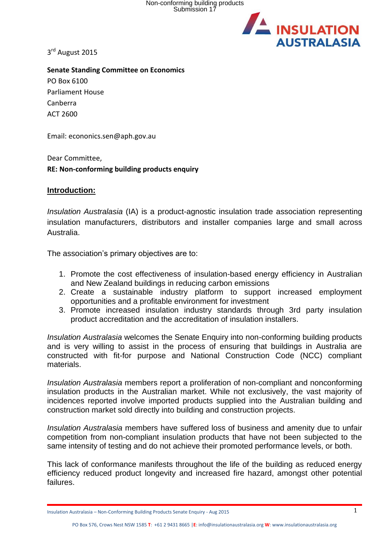Non-conforming building products Submission 17



3<sup>rd</sup> August 2015

**Senate Standing Committee on Economics** PO Box 6100 Parliament House Canberra ACT 2600

Email: econonics.sen@aph.gov.au

Dear Committee, **RE: Non-conforming building products enquiry**

### **Introduction:**

*Insulation Australasia* (IA) is a product-agnostic insulation trade association representing insulation manufacturers, distributors and installer companies large and small across Australia.

The association's primary objectives are to:

- 1. Promote the cost effectiveness of insulation-based energy efficiency in Australian and New Zealand buildings in reducing carbon emissions
- 2. Create a sustainable industry platform to support increased employment opportunities and a profitable environment for investment
- 3. Promote increased insulation industry standards through 3rd party insulation product accreditation and the accreditation of insulation installers.

*Insulation Australasia* welcomes the Senate Enquiry into non-conforming building products and is very willing to assist in the process of ensuring that buildings in Australia are constructed with fit-for purpose and National Construction Code (NCC) compliant materials.

*Insulation Australasia* members report a proliferation of non-compliant and nonconforming insulation products in the Australian market. While not exclusively, the vast majority of incidences reported involve imported products supplied into the Australian building and construction market sold directly into building and construction projects.

*Insulation Australasia* members have suffered loss of business and amenity due to unfair competition from non-compliant insulation products that have not been subjected to the same intensity of testing and do not achieve their promoted performance levels, or both.

This lack of conformance manifests throughout the life of the building as reduced energy efficiency reduced product longevity and increased fire hazard, amongst other potential failures.

Insulation Australasia – Non-Conforming Building Products Senate Enquiry - Aug 2015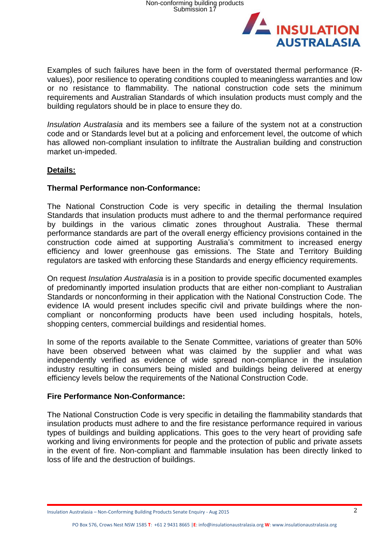

Examples of such failures have been in the form of overstated thermal performance (Rvalues), poor resilience to operating conditions coupled to meaningless warranties and low or no resistance to flammability. The national construction code sets the minimum requirements and Australian Standards of which insulation products must comply and the building regulators should be in place to ensure they do.

*Insulation Australasia* and its members see a failure of the system not at a construction code and or Standards level but at a policing and enforcement level, the outcome of which has allowed non-compliant insulation to infiltrate the Australian building and construction market un-impeded.

# **Details:**

## **Thermal Performance non-Conformance:**

The National Construction Code is very specific in detailing the thermal Insulation Standards that insulation products must adhere to and the thermal performance required by buildings in the various climatic zones throughout Australia. These thermal performance standards are part of the overall energy efficiency provisions contained in the construction code aimed at supporting Australia's commitment to increased energy efficiency and lower greenhouse gas emissions. The State and Territory Building regulators are tasked with enforcing these Standards and energy efficiency requirements.

On request *Insulation Australasia* is in a position to provide specific documented examples of predominantly imported insulation products that are either non-compliant to Australian Standards or nonconforming in their application with the National Construction Code. The evidence IA would present includes specific civil and private buildings where the noncompliant or nonconforming products have been used including hospitals, hotels, shopping centers, commercial buildings and residential homes.

In some of the reports available to the Senate Committee, variations of greater than 50% have been observed between what was claimed by the supplier and what was independently verified as evidence of wide spread non-compliance in the insulation industry resulting in consumers being misled and buildings being delivered at energy efficiency levels below the requirements of the National Construction Code.

### **Fire Performance Non-Conformance:**

The National Construction Code is very specific in detailing the flammability standards that insulation products must adhere to and the fire resistance performance required in various types of buildings and building applications. This goes to the very heart of providing safe working and living environments for people and the protection of public and private assets in the event of fire. Non-compliant and flammable insulation has been directly linked to loss of life and the destruction of buildings.

Insulation Australasia – Non-Conforming Building Products Senate Enquiry - Aug 2015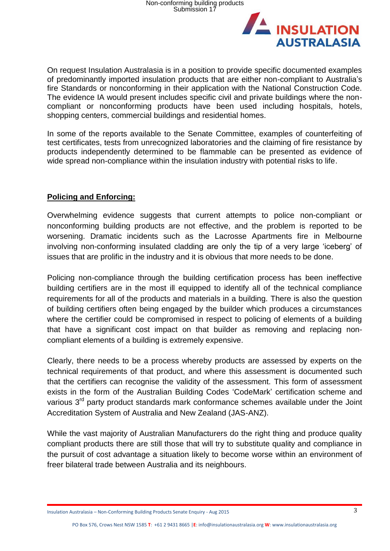

On request Insulation Australasia is in a position to provide specific documented examples of predominantly imported insulation products that are either non-compliant to Australia's fire Standards or nonconforming in their application with the National Construction Code. The evidence IA would present includes specific civil and private buildings where the noncompliant or nonconforming products have been used including hospitals, hotels, shopping centers, commercial buildings and residential homes.

In some of the reports available to the Senate Committee, examples of counterfeiting of test certificates, tests from unrecognized laboratories and the claiming of fire resistance by products independently determined to be flammable can be presented as evidence of wide spread non-compliance within the insulation industry with potential risks to life.

# **Policing and Enforcing:**

Overwhelming evidence suggests that current attempts to police non-compliant or nonconforming building products are not effective, and the problem is reported to be worsening. Dramatic incidents such as the Lacrosse Apartments fire in Melbourne involving non-conforming insulated cladding are only the tip of a very large 'iceberg' of issues that are prolific in the industry and it is obvious that more needs to be done.

Policing non-compliance through the building certification process has been ineffective building certifiers are in the most ill equipped to identify all of the technical compliance requirements for all of the products and materials in a building. There is also the question of building certifiers often being engaged by the builder which produces a circumstances where the certifier could be compromised in respect to policing of elements of a building that have a significant cost impact on that builder as removing and replacing noncompliant elements of a building is extremely expensive.

Clearly, there needs to be a process whereby products are assessed by experts on the technical requirements of that product, and where this assessment is documented such that the certifiers can recognise the validity of the assessment. This form of assessment exists in the form of the Australian Building Codes 'CodeMark' certification scheme and various 3<sup>rd</sup> party product standards mark conformance schemes available under the Joint Accreditation System of Australia and New Zealand (JAS-ANZ).

While the vast majority of Australian Manufacturers do the right thing and produce quality compliant products there are still those that will try to substitute quality and compliance in the pursuit of cost advantage a situation likely to become worse within an environment of freer bilateral trade between Australia and its neighbours.

Insulation Australasia – Non-Conforming Building Products Senate Enquiry - Aug 2015